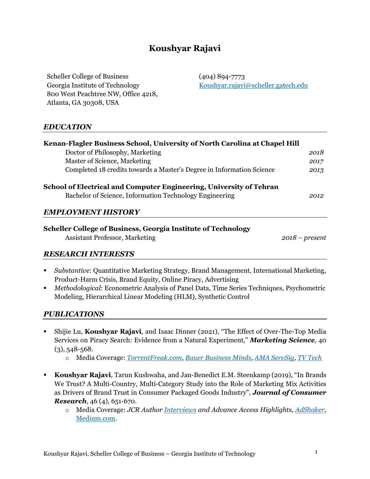# **Koushyar Rajavi**

Scheller College of Business Georgia Institute of Technology 800 West Peachtree NW, Office 4218, Atlanta, GA 30308, USA

(404) 894-7773 Koushyar.rajavi@scheller.gatech.edu

#### *EDUCATION*

| Kenan-Flagler Business School, University of North Carolina at Chapel Hill                                                     |                  |
|--------------------------------------------------------------------------------------------------------------------------------|------------------|
| Doctor of Philosophy, Marketing                                                                                                | 2018             |
| Master of Science, Marketing                                                                                                   | 2017             |
| Completed 18 credits towards a Master's Degree in Information Science                                                          | 2013             |
| School of Electrical and Computer Engineering, University of Tehran<br>Bachelor of Science, Information Technology Engineering | 2012             |
| <b>EMPLOYMENT HISTORY</b>                                                                                                      |                  |
| <b>Scheller College of Business, Georgia Institute of Technology</b><br><b>Assistant Professor, Marketing</b>                  | $2018$ – present |

#### *RESEARCH INTERESTS*

- *Substantive*: Quantitative Marketing Strategy, Brand Management, International Marketing, Product-Harm Crisis, Brand Equity, Online Piracy, Advertising
- *Methodological*: Econometric Analysis of Panel Data, Time Series Techniques, Psychometric Modeling, Hierarchical Linear Modeling (HLM), Synthetic Control

#### *PUBLICATIONS*

- Shijie Lu, **Koushyar Rajavi**, and Isaac Dinner (2021), "The Effect of Over-The-Top Media Services on Piracy Search: Evidence from a Natural Experiment," *Marketing Science*, 40 (3), 548-568.
	- o Media Coverage: *[TorrentFreak.com](https://torrentfreak.com/netflix-blockade-boosted-piracy-searches-research-finds-200716/)*, *[Bauer Business Minds](http://bauerticker.uh.edu/faculty-staff/going-over-the-top/)*, *[AMA ServSig](https://www.servsig.org/wordpress/2021/07/service-articles-in-non-service-specific-journals-june-2021/)*, *[TV Tech](https://www.tvtechnology.com/news/denying-consumers-access-to-ott-content-drives-searches-for-pirated-content)*
- **Koushyar Rajavi**, Tarun Kushwaha, and Jan-Benedict E.M. Steenkamp (2019), "In Brands We Trust? A Multi-Country, Multi-Category Study into the Role of Marketing Mix Activities as Drivers of Brand Trust in Consumer Packaged Goods Industry", *Journal of Consumer Research*, 46 (4), 651-670.
	- o Media Coverage: *JCR Author [Interviews](https://academic.oup.com/jcr/pages/author_interviews) and Advance Access Highlights, [AdShaker](http://adshaker.pl/in-brands-we-trust/)*, [Medium.com.](https://medium.com/bluefire-group/whats-in-a-brand-bdfbf18d6a17)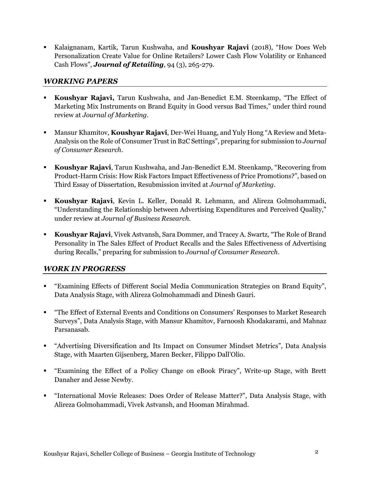Kalaignanam, Kartik, Tarun Kushwaha, and **Koushyar Rajavi** (2018), "How Does Web Personalization Create Value for Online Retailers? Lower Cash Flow Volatility or Enhanced Cash Flows", *Journal of Retailing*, 94 (3), 265-279.

## *WORKING PAPERS*

- **Koushyar Rajavi,** Tarun Kushwaha, and Jan-Benedict E.M. Steenkamp, "The Effect of Marketing Mix Instruments on Brand Equity in Good versus Bad Times," under third round review at *Journal of Marketing*.
- Mansur Khamitov, **Koushyar Rajavi**, Der-Wei Huang, and Yuly Hong "A Review and Meta-Analysis on the Role of Consumer Trust in B2C Settings", preparing for submission to *Journal of Consumer Research*.
- **Koushyar Rajavi**, Tarun Kushwaha, and Jan-Benedict E.M. Steenkamp, "Recovering from Product-Harm Crisis: How Risk Factors Impact Effectiveness of Price Promotions?", based on Third Essay of Dissertation, Resubmission invited at *Journal of Marketing*.
- **Koushyar Rajavi**, Kevin L. Keller, Donald R. Lehmann, and Alireza Golmohammadi, "Understanding the Relationship between Advertising Expenditures and Perceived Quality," under review at *Journal of Business Research*.
- **Koushyar Rajavi**, Vivek Astvansh, Sara Dommer, and Tracey A. Swartz, "The Role of Brand Personality in The Sales Effect of Product Recalls and the Sales Effectiveness of Advertising during Recalls," preparing for submission to *Journal of Consumer Research*.

# *WORK IN PROGRESS*

- "Examining Effects of Different Social Media Communication Strategies on Brand Equity", Data Analysis Stage, with Alireza Golmohammadi and Dinesh Gauri.
- "The Effect of External Events and Conditions on Consumers' Responses to Market Research Surveys", Data Analysis Stage, with Mansur Khamitov, Farnoosh Khodakarami, and Mahnaz Parsanasab.
- "Advertising Diversification and Its Impact on Consumer Mindset Metrics", Data Analysis Stage, with Maarten Gijsenberg, Maren Becker, Filippo Dall'Olio.
- "Examining the Effect of a Policy Change on eBook Piracy", Write-up Stage, with Brett Danaher and Jesse Newby.
- "International Movie Releases: Does Order of Release Matter?", Data Analysis Stage, with Alireza Golmohammadi, Vivek Astvansh, and Hooman Mirahmad.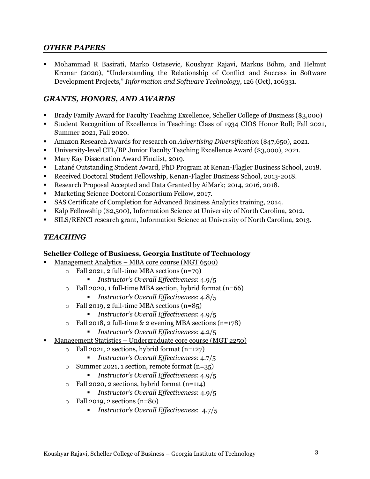## *OTHER PAPERS*

 Mohammad R Basirati, Marko Ostasevic, Koushyar Rajavi, Markus Böhm, and Helmut Krcmar (2020), "Understanding the Relationship of Conflict and Success in Software Development Projects," *Information and Software Technology*, 126 (Oct), 106331.

## *GRANTS, HONORS, AND AWARDS*

- Brady Family Award for Faculty Teaching Excellence, Scheller College of Business (\$3,000)
- Student Recognition of Excellence in Teaching: Class of 1934 CIOS Honor Roll; Fall 2021, Summer 2021, Fall 2020.
- Amazon Research Awards for research on *Advertising Diversification* (\$47,650), 2021.
- University-level CTL/BP Junior Faculty Teaching Excellence Award (\$3,000), 2021.
- **Mary Kay Dissertation Award Finalist, 2019.**
- Latané Outstanding Student Award, PhD Program at Kenan-Flagler Business School, 2018.
- Received Doctoral Student Fellowship, Kenan-Flagler Business School, 2013-2018.
- Research Proposal Accepted and Data Granted by AiMark; 2014, 2016, 2018.
- **Marketing Science Doctoral Consortium Fellow, 2017.**
- SAS Certificate of Completion for Advanced Business Analytics training, 2014.
- Kalp Fellowship (\$2,500), Information Science at University of North Carolina, 2012.
- SILS/RENCI research grant, Information Science at University of North Carolina, 2013.

## *TEACHING*

#### **Scheller College of Business, Georgia Institute of Technology**

- Management Analytics MBA core course (MGT 6500)
	- $\circ$  Fall 2021, 2 full-time MBA sections (n=79)
		- *Instructor's Overall Effectiveness*: 4.9/5
	- $\circ$  Fall 2020, 1 full-time MBA section, hybrid format (n=66)
		- *Instructor's Overall Effectiveness*: 4.8/5
	- $\circ$  Fall 2019, 2 full-time MBA sections (n=85)
		- *Instructor's Overall Effectiveness*: 4.9/5
	- $\circ$  Fall 2018, 2 full-time & 2 evening MBA sections (n=178)
		- *Instructor's Overall Effectiveness*: 4.2/5
- Management Statistics Undergraduate core course (MGT 2250)
	- $\circ$  Fall 2021, 2 sections, hybrid format (n=127)
		- *Instructor's Overall Effectiveness*: 4.7/5
	- o Summer 2021, 1 section, remote format  $(n=35)$ 
		- *Instructor's Overall Effectiveness*: 4.9/5
	- o Fall 2020, 2 sections, hybrid format (n=114)
		- *Instructor's Overall Effectiveness*: 4.9/5
	- $\circ$  Fall 2019, 2 sections (n=80)
		- *Instructor's Overall Effectiveness*: 4.7/5